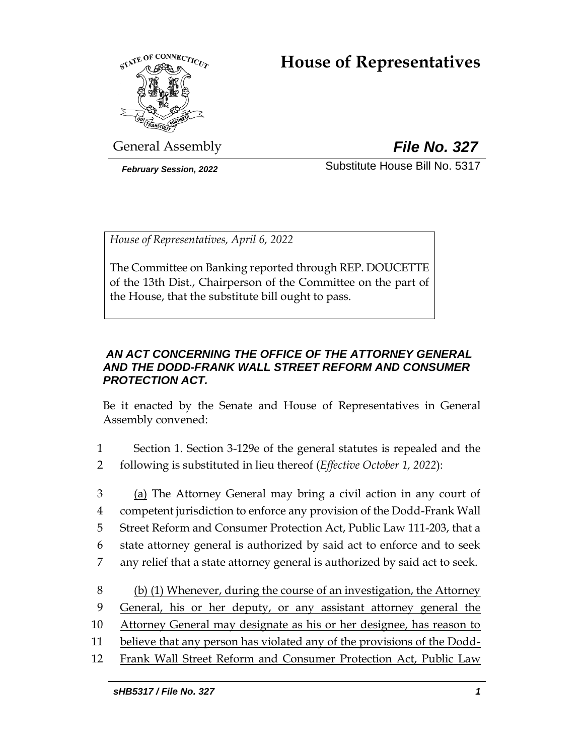# **House of Representatives**



General Assembly *File No. 327*

*February Session, 2022* Substitute House Bill No. 5317

*House of Representatives, April 6, 2022*

The Committee on Banking reported through REP. DOUCETTE of the 13th Dist., Chairperson of the Committee on the part of the House, that the substitute bill ought to pass.

# *AN ACT CONCERNING THE OFFICE OF THE ATTORNEY GENERAL AND THE DODD-FRANK WALL STREET REFORM AND CONSUMER PROTECTION ACT.*

Be it enacted by the Senate and House of Representatives in General Assembly convened:

- 1 Section 1. Section 3-129e of the general statutes is repealed and the 2 following is substituted in lieu thereof (*Effective October 1, 2022*):
- 3 (a) The Attorney General may bring a civil action in any court of 4 competent jurisdiction to enforce any provision of the Dodd-Frank Wall 5 Street Reform and Consumer Protection Act, Public Law 111-203, that a 6 state attorney general is authorized by said act to enforce and to seek 7 any relief that a state attorney general is authorized by said act to seek. 8 (b) (1) Whenever, during the course of an investigation, the Attorney
- 9 General, his or her deputy, or any assistant attorney general the
- 10 Attorney General may designate as his or her designee, has reason to
- 11 believe that any person has violated any of the provisions of the Dodd-
- 12 Frank Wall Street Reform and Consumer Protection Act, Public Law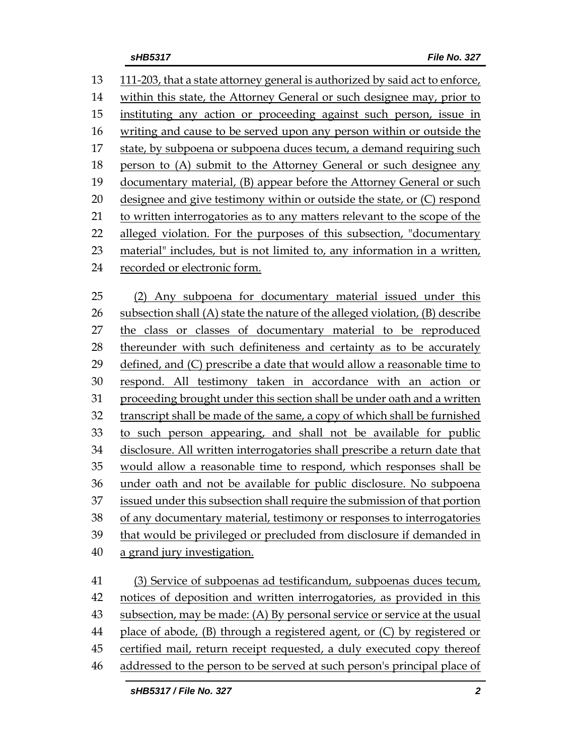111-203, that a state attorney general is authorized by said act to enforce, within this state, the Attorney General or such designee may, prior to instituting any action or proceeding against such person, issue in writing and cause to be served upon any person within or outside the state, by subpoena or subpoena duces tecum, a demand requiring such person to (A) submit to the Attorney General or such designee any documentary material, (B) appear before the Attorney General or such designee and give testimony within or outside the state, or (C) respond to written interrogatories as to any matters relevant to the scope of the 22 alleged violation. For the purposes of this subsection, "documentary material" includes, but is not limited to, any information in a written, recorded or electronic form. (2) Any subpoena for documentary material issued under this subsection shall (A) state the nature of the alleged violation, (B) describe the class or classes of documentary material to be reproduced thereunder with such definiteness and certainty as to be accurately defined, and (C) prescribe a date that would allow a reasonable time to respond. All testimony taken in accordance with an action or proceeding brought under this section shall be under oath and a written transcript shall be made of the same, a copy of which shall be furnished to such person appearing, and shall not be available for public disclosure. All written interrogatories shall prescribe a return date that would allow a reasonable time to respond, which responses shall be under oath and not be available for public disclosure. No subpoena issued under this subsection shall require the submission of that portion of any documentary material, testimony or responses to interrogatories that would be privileged or precluded from disclosure if demanded in a grand jury investigation. (3) Service of subpoenas ad testificandum, subpoenas duces tecum, notices of deposition and written interrogatories, as provided in this subsection, may be made: (A) By personal service or service at the usual place of abode, (B) through a registered agent, or (C) by registered or certified mail, return receipt requested, a duly executed copy thereof addressed to the person to be served at such person's principal place of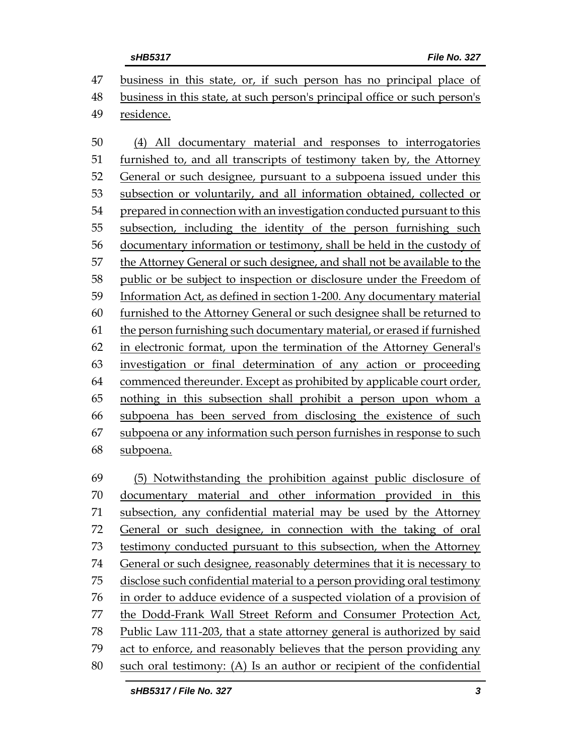business in this state, or, if such person has no principal place of business in this state, at such person's principal office or such person's residence.

 (4) All documentary material and responses to interrogatories furnished to, and all transcripts of testimony taken by, the Attorney General or such designee, pursuant to a subpoena issued under this subsection or voluntarily, and all information obtained, collected or prepared in connection with an investigation conducted pursuant to this subsection, including the identity of the person furnishing such documentary information or testimony, shall be held in the custody of the Attorney General or such designee, and shall not be available to the public or be subject to inspection or disclosure under the Freedom of Information Act, as defined in section 1-200. Any documentary material furnished to the Attorney General or such designee shall be returned to the person furnishing such documentary material, or erased if furnished in electronic format, upon the termination of the Attorney General's investigation or final determination of any action or proceeding commenced thereunder. Except as prohibited by applicable court order, nothing in this subsection shall prohibit a person upon whom a subpoena has been served from disclosing the existence of such subpoena or any information such person furnishes in response to such

subpoena.

 (5) Notwithstanding the prohibition against public disclosure of documentary material and other information provided in this subsection, any confidential material may be used by the Attorney General or such designee, in connection with the taking of oral testimony conducted pursuant to this subsection, when the Attorney General or such designee, reasonably determines that it is necessary to disclose such confidential material to a person providing oral testimony in order to adduce evidence of a suspected violation of a provision of the Dodd-Frank Wall Street Reform and Consumer Protection Act, Public Law 111-203, that a state attorney general is authorized by said act to enforce, and reasonably believes that the person providing any such oral testimony: (A) Is an author or recipient of the confidential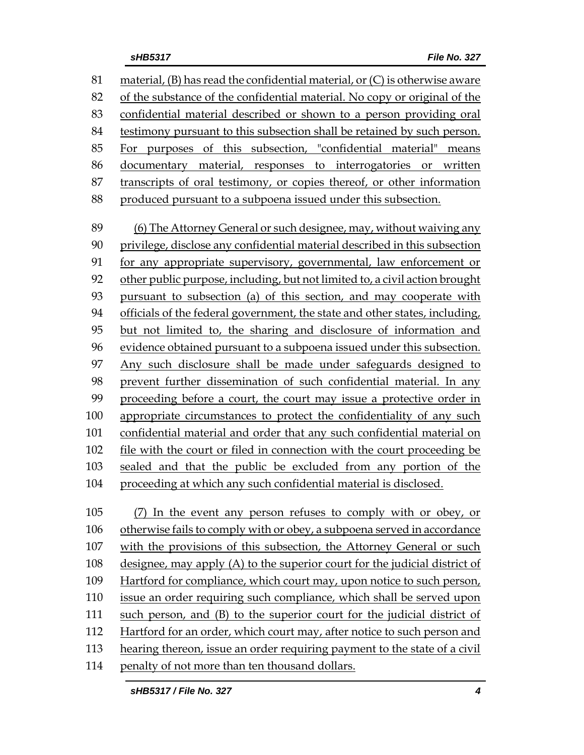material, (B) has read the confidential material, or (C) is otherwise aware of the substance of the confidential material. No copy or original of the confidential material described or shown to a person providing oral testimony pursuant to this subsection shall be retained by such person. For purposes of this subsection, "confidential material" means documentary material, responses to interrogatories or written transcripts of oral testimony, or copies thereof, or other information produced pursuant to a subpoena issued under this subsection. (6) The Attorney General or such designee, may, without waiving any privilege, disclose any confidential material described in this subsection for any appropriate supervisory, governmental, law enforcement or other public purpose, including, but not limited to, a civil action brought pursuant to subsection (a) of this section, and may cooperate with officials of the federal government, the state and other states, including, but not limited to, the sharing and disclosure of information and evidence obtained pursuant to a subpoena issued under this subsection. Any such disclosure shall be made under safeguards designed to prevent further dissemination of such confidential material. In any proceeding before a court, the court may issue a protective order in appropriate circumstances to protect the confidentiality of any such confidential material and order that any such confidential material on file with the court or filed in connection with the court proceeding be sealed and that the public be excluded from any portion of the proceeding at which any such confidential material is disclosed. (7) In the event any person refuses to comply with or obey, or otherwise fails to comply with or obey, a subpoena served in accordance with the provisions of this subsection, the Attorney General or such designee, may apply (A) to the superior court for the judicial district of Hartford for compliance, which court may, upon notice to such person, issue an order requiring such compliance, which shall be served upon such person, and (B) to the superior court for the judicial district of

 Hartford for an order, which court may, after notice to such person and hearing thereon, issue an order requiring payment to the state of a civil

penalty of not more than ten thousand dollars.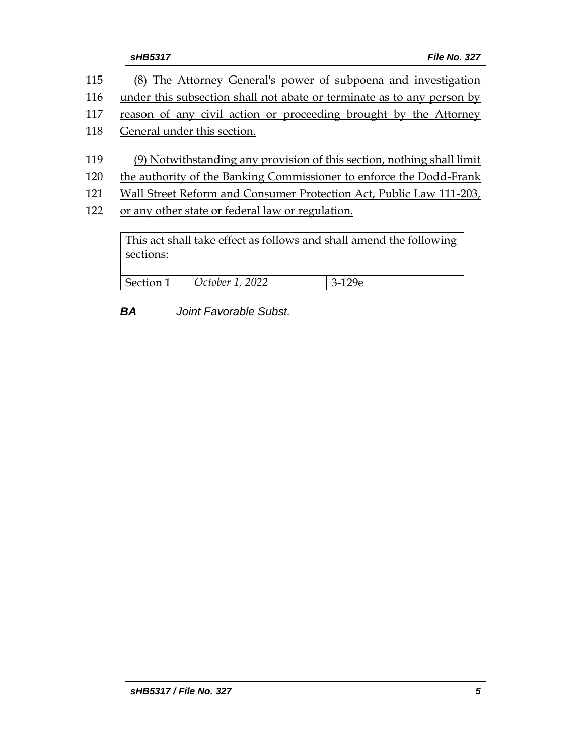|     | sHB5317                                                                                                                              |                 | File No. 327 |
|-----|--------------------------------------------------------------------------------------------------------------------------------------|-----------------|--------------|
| 115 | (8) The Attorney General's power of subpoena and investigation                                                                       |                 |              |
| 116 | under this subsection shall not abate or terminate as to any person by                                                               |                 |              |
| 117 | reason of any civil action or proceeding brought by the Attorney                                                                     |                 |              |
| 118 | General under this section.                                                                                                          |                 |              |
| 119 | (9) Notwithstanding any provision of this section, nothing shall limit                                                               |                 |              |
| 120 | the authority of the Banking Commissioner to enforce the Dodd-Frank                                                                  |                 |              |
| 121 | Wall Street Reform and Consumer Protection Act, Public Law 111-203,                                                                  |                 |              |
| 122 | or any other state or federal law or regulation.<br>This act shall take effect as follows and shall amend the following<br>sections: |                 |              |
|     |                                                                                                                                      |                 |              |
|     | Section 1                                                                                                                            | October 1, 2022 | $3-129e$     |

*BA Joint Favorable Subst.*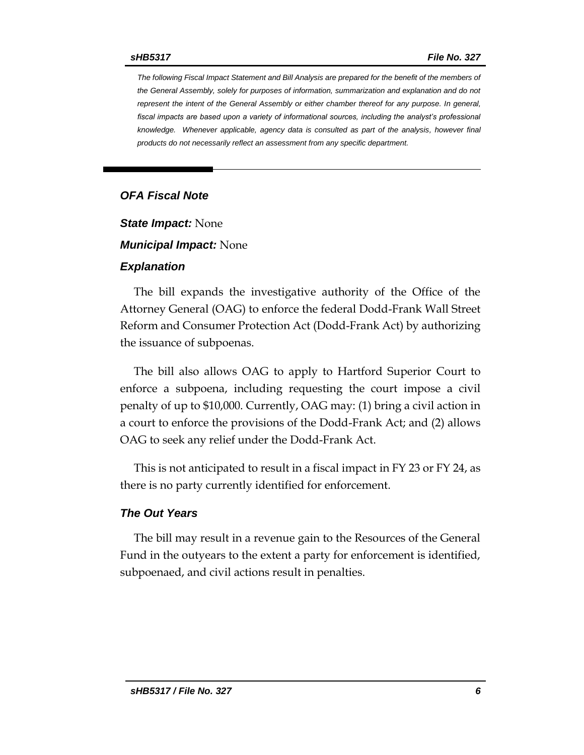*The following Fiscal Impact Statement and Bill Analysis are prepared for the benefit of the members of the General Assembly, solely for purposes of information, summarization and explanation and do not represent the intent of the General Assembly or either chamber thereof for any purpose. In general,*  fiscal impacts are based upon a variety of informational sources, including the analyst's professional *knowledge. Whenever applicable, agency data is consulted as part of the analysis, however final products do not necessarily reflect an assessment from any specific department.*

## *OFA Fiscal Note*

*State Impact:* None

*Municipal Impact:* None

#### *Explanation*

The bill expands the investigative authority of the Office of the Attorney General (OAG) to enforce the federal Dodd-Frank Wall Street Reform and Consumer Protection Act (Dodd-Frank Act) by authorizing the issuance of subpoenas.

The bill also allows OAG to apply to Hartford Superior Court to enforce a subpoena, including requesting the court impose a civil penalty of up to \$10,000. Currently, OAG may: (1) bring a civil action in a court to enforce the provisions of the Dodd-Frank Act; and (2) allows OAG to seek any relief under the Dodd-Frank Act.

This is not anticipated to result in a fiscal impact in FY 23 or FY 24, as there is no party currently identified for enforcement.

#### *The Out Years*

The bill may result in a revenue gain to the Resources of the General Fund in the outyears to the extent a party for enforcement is identified, subpoenaed, and civil actions result in penalties.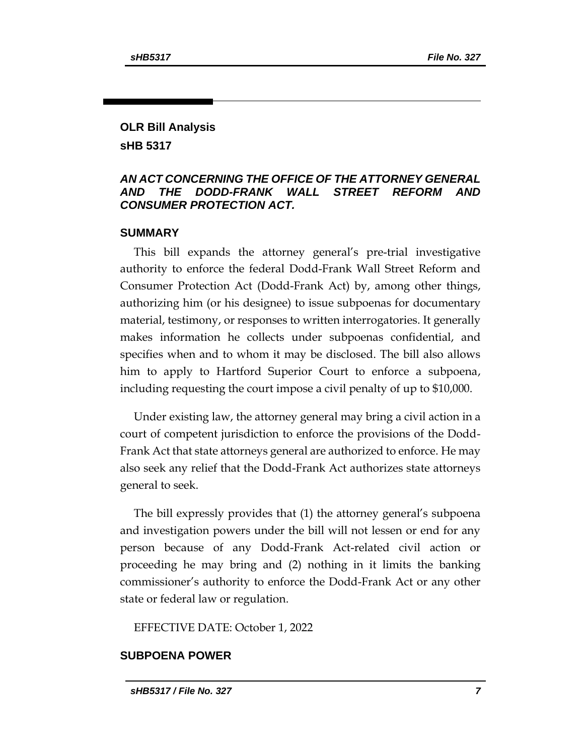## **OLR Bill Analysis sHB 5317**

## *AN ACT CONCERNING THE OFFICE OF THE ATTORNEY GENERAL AND THE DODD-FRANK WALL STREET REFORM AND CONSUMER PROTECTION ACT.*

## **SUMMARY**

This bill expands the attorney general's pre-trial investigative authority to enforce the federal Dodd-Frank Wall Street Reform and Consumer Protection Act (Dodd-Frank Act) by, among other things, authorizing him (or his designee) to issue subpoenas for documentary material, testimony, or responses to written interrogatories. It generally makes information he collects under subpoenas confidential, and specifies when and to whom it may be disclosed. The bill also allows him to apply to Hartford Superior Court to enforce a subpoena, including requesting the court impose a civil penalty of up to \$10,000.

Under existing law, the attorney general may bring a civil action in a court of competent jurisdiction to enforce the provisions of the Dodd-Frank Act that state attorneys general are authorized to enforce. He may also seek any relief that the Dodd-Frank Act authorizes state attorneys general to seek.

The bill expressly provides that (1) the attorney general's subpoena and investigation powers under the bill will not lessen or end for any person because of any Dodd-Frank Act-related civil action or proceeding he may bring and (2) nothing in it limits the banking commissioner's authority to enforce the Dodd-Frank Act or any other state or federal law or regulation.

EFFECTIVE DATE: October 1, 2022

## **SUBPOENA POWER**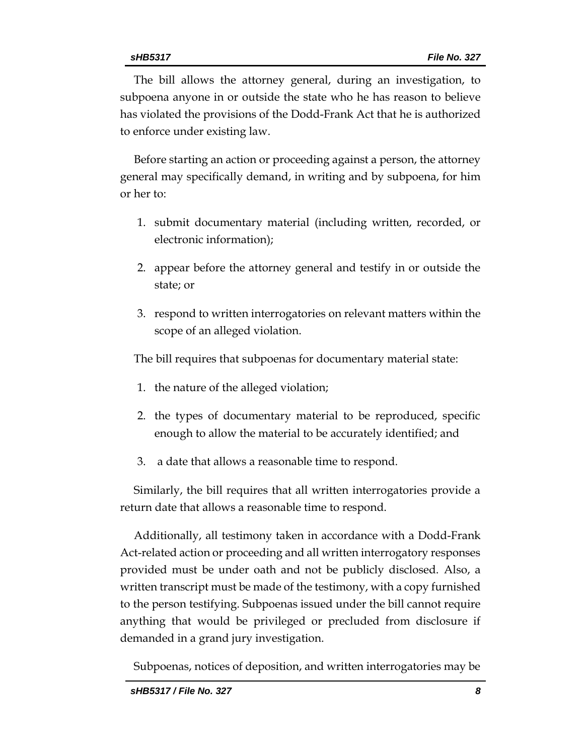The bill allows the attorney general, during an investigation, to subpoena anyone in or outside the state who he has reason to believe has violated the provisions of the Dodd-Frank Act that he is authorized to enforce under existing law.

Before starting an action or proceeding against a person, the attorney general may specifically demand, in writing and by subpoena, for him or her to:

- 1. submit documentary material (including written, recorded, or electronic information);
- 2. appear before the attorney general and testify in or outside the state; or
- 3. respond to written interrogatories on relevant matters within the scope of an alleged violation.

The bill requires that subpoenas for documentary material state:

- 1. the nature of the alleged violation;
- 2. the types of documentary material to be reproduced, specific enough to allow the material to be accurately identified; and
- 3. a date that allows a reasonable time to respond.

Similarly, the bill requires that all written interrogatories provide a return date that allows a reasonable time to respond.

Additionally, all testimony taken in accordance with a Dodd-Frank Act-related action or proceeding and all written interrogatory responses provided must be under oath and not be publicly disclosed. Also, a written transcript must be made of the testimony, with a copy furnished to the person testifying. Subpoenas issued under the bill cannot require anything that would be privileged or precluded from disclosure if demanded in a grand jury investigation.

Subpoenas, notices of deposition, and written interrogatories may be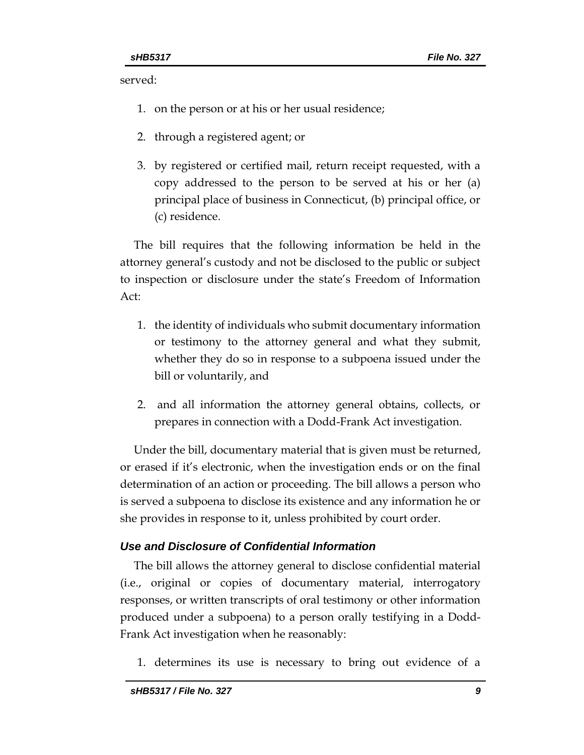served:

- 1. on the person or at his or her usual residence;
- 2. through a registered agent; or
- 3. by registered or certified mail, return receipt requested, with a copy addressed to the person to be served at his or her (a) principal place of business in Connecticut, (b) principal office, or (c) residence.

The bill requires that the following information be held in the attorney general's custody and not be disclosed to the public or subject to inspection or disclosure under the state's Freedom of Information Act:

- 1. the identity of individuals who submit documentary information or testimony to the attorney general and what they submit, whether they do so in response to a subpoena issued under the bill or voluntarily, and
- 2. and all information the attorney general obtains, collects, or prepares in connection with a Dodd-Frank Act investigation.

Under the bill, documentary material that is given must be returned, or erased if it's electronic, when the investigation ends or on the final determination of an action or proceeding. The bill allows a person who is served a subpoena to disclose its existence and any information he or she provides in response to it, unless prohibited by court order.

# *Use and Disclosure of Confidential Information*

The bill allows the attorney general to disclose confidential material (i.e., original or copies of documentary material, interrogatory responses, or written transcripts of oral testimony or other information produced under a subpoena) to a person orally testifying in a Dodd-Frank Act investigation when he reasonably:

1. determines its use is necessary to bring out evidence of a